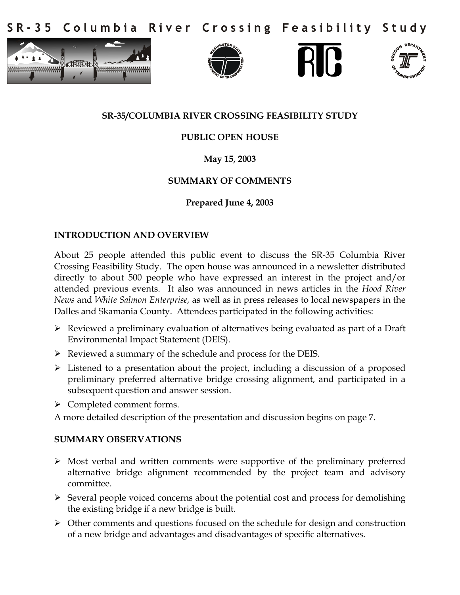Columbia River Crossing Feasibility Study  $S$  R - 3 5









## **SR-35/COLUMBIA RIVER CROSSING FEASIBILITY STUDY**

## **PUBLIC OPEN HOUSE**

# **May 15, 2003**

## **SUMMARY OF COMMENTS**

## **Prepared June 4, 2003**

### **INTRODUCTION AND OVERVIEW**

About 25 people attended this public event to discuss the SR-35 Columbia River Crossing Feasibility Study. The open house was announced in a newsletter distributed directly to about 500 people who have expressed an interest in the project and/or attended previous events. It also was announced in news articles in the *Hood River News* and *White Salmon Enterprise,* as well as in press releases to local newspapers in the Dalles and Skamania County. Attendees participated in the following activities:

- Reviewed a preliminary evaluation of alternatives being evaluated as part of a Draft Environmental Impact Statement (DEIS).
- $\triangleright$  Reviewed a summary of the schedule and process for the DEIS.
- $\triangleright$  Listened to a presentation about the project, including a discussion of a proposed preliminary preferred alternative bridge crossing alignment, and participated in a subsequent question and answer session.
- $\triangleright$  Completed comment forms.

A more detailed description of the presentation and discussion begins on page 7.

### **SUMMARY OBSERVATIONS**

- Most verbal and written comments were supportive of the preliminary preferred alternative bridge alignment recommended by the project team and advisory committee.
- $\triangleright$  Several people voiced concerns about the potential cost and process for demolishing the existing bridge if a new bridge is built.
- $\triangleright$  Other comments and questions focused on the schedule for design and construction of a new bridge and advantages and disadvantages of specific alternatives.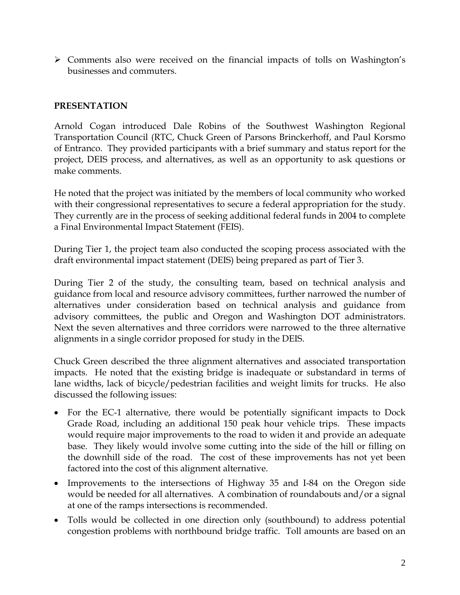Comments also were received on the financial impacts of tolls on Washington's businesses and commuters.

## **PRESENTATION**

Arnold Cogan introduced Dale Robins of the Southwest Washington Regional Transportation Council (RTC, Chuck Green of Parsons Brinckerhoff, and Paul Korsmo of Entranco. They provided participants with a brief summary and status report for the project, DEIS process, and alternatives, as well as an opportunity to ask questions or make comments.

He noted that the project was initiated by the members of local community who worked with their congressional representatives to secure a federal appropriation for the study. They currently are in the process of seeking additional federal funds in 2004 to complete a Final Environmental Impact Statement (FEIS).

During Tier 1, the project team also conducted the scoping process associated with the draft environmental impact statement (DEIS) being prepared as part of Tier 3.

During Tier 2 of the study, the consulting team, based on technical analysis and guidance from local and resource advisory committees, further narrowed the number of alternatives under consideration based on technical analysis and guidance from advisory committees, the public and Oregon and Washington DOT administrators. Next the seven alternatives and three corridors were narrowed to the three alternative alignments in a single corridor proposed for study in the DEIS.

Chuck Green described the three alignment alternatives and associated transportation impacts. He noted that the existing bridge is inadequate or substandard in terms of lane widths, lack of bicycle/pedestrian facilities and weight limits for trucks. He also discussed the following issues:

- For the EC-1 alternative, there would be potentially significant impacts to Dock Grade Road, including an additional 150 peak hour vehicle trips. These impacts would require major improvements to the road to widen it and provide an adequate base. They likely would involve some cutting into the side of the hill or filling on the downhill side of the road. The cost of these improvements has not yet been factored into the cost of this alignment alternative.
- Improvements to the intersections of Highway 35 and I-84 on the Oregon side would be needed for all alternatives. A combination of roundabouts and/or a signal at one of the ramps intersections is recommended.
- Tolls would be collected in one direction only (southbound) to address potential congestion problems with northbound bridge traffic. Toll amounts are based on an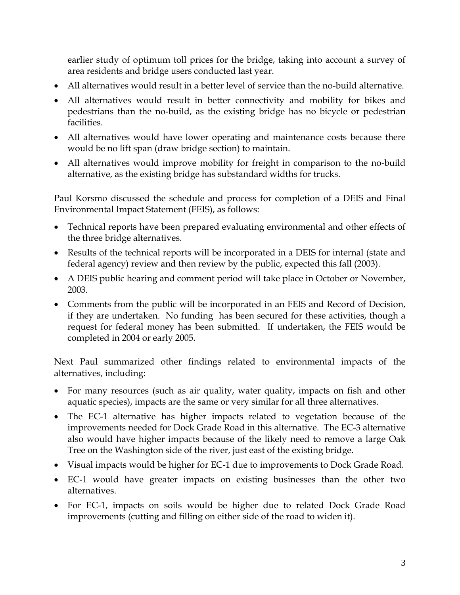earlier study of optimum toll prices for the bridge, taking into account a survey of area residents and bridge users conducted last year.

- All alternatives would result in a better level of service than the no-build alternative.
- All alternatives would result in better connectivity and mobility for bikes and pedestrians than the no-build, as the existing bridge has no bicycle or pedestrian facilities.
- All alternatives would have lower operating and maintenance costs because there would be no lift span (draw bridge section) to maintain.
- All alternatives would improve mobility for freight in comparison to the no-build alternative, as the existing bridge has substandard widths for trucks.

Paul Korsmo discussed the schedule and process for completion of a DEIS and Final Environmental Impact Statement (FEIS), as follows:

- Technical reports have been prepared evaluating environmental and other effects of the three bridge alternatives.
- Results of the technical reports will be incorporated in a DEIS for internal (state and federal agency) review and then review by the public, expected this fall (2003).
- A DEIS public hearing and comment period will take place in October or November, 2003.
- Comments from the public will be incorporated in an FEIS and Record of Decision, if they are undertaken. No funding has been secured for these activities, though a request for federal money has been submitted. If undertaken, the FEIS would be completed in 2004 or early 2005.

Next Paul summarized other findings related to environmental impacts of the alternatives, including:

- For many resources (such as air quality, water quality, impacts on fish and other aquatic species), impacts are the same or very similar for all three alternatives.
- The EC-1 alternative has higher impacts related to vegetation because of the improvements needed for Dock Grade Road in this alternative. The EC-3 alternative also would have higher impacts because of the likely need to remove a large Oak Tree on the Washington side of the river, just east of the existing bridge.
- Visual impacts would be higher for EC-1 due to improvements to Dock Grade Road.
- EC-1 would have greater impacts on existing businesses than the other two alternatives.
- For EC-1, impacts on soils would be higher due to related Dock Grade Road improvements (cutting and filling on either side of the road to widen it).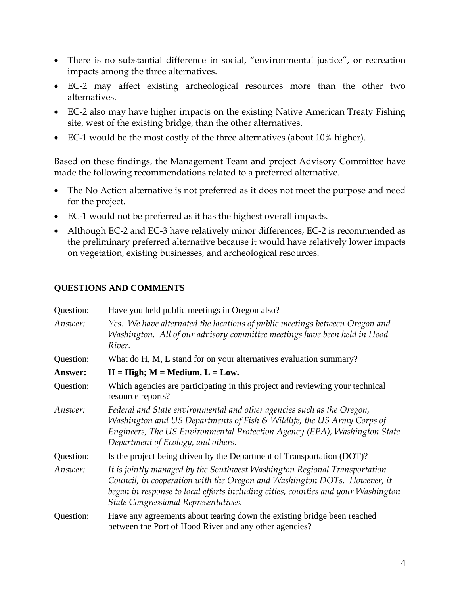- There is no substantial difference in social, "environmental justice", or recreation impacts among the three alternatives.
- EC-2 may affect existing archeological resources more than the other two alternatives.
- EC-2 also may have higher impacts on the existing Native American Treaty Fishing site, west of the existing bridge, than the other alternatives.
- EC-1 would be the most costly of the three alternatives (about 10% higher).

Based on these findings, the Management Team and project Advisory Committee have made the following recommendations related to a preferred alternative.

- The No Action alternative is not preferred as it does not meet the purpose and need for the project.
- EC-1 would not be preferred as it has the highest overall impacts.
- Although EC-2 and EC-3 have relatively minor differences, EC-2 is recommended as the preliminary preferred alternative because it would have relatively lower impacts on vegetation, existing businesses, and archeological resources.

# **QUESTIONS AND COMMENTS**

| Question: | Have you held public meetings in Oregon also?                                                                                                                                                                                                                                      |
|-----------|------------------------------------------------------------------------------------------------------------------------------------------------------------------------------------------------------------------------------------------------------------------------------------|
| Answer:   | Yes. We have alternated the locations of public meetings between Oregon and<br>Washington. All of our advisory committee meetings have been held in Hood<br>River.                                                                                                                 |
| Question: | What do H, M, L stand for on your alternatives evaluation summary?                                                                                                                                                                                                                 |
| Answer:   | $H = High$ ; $M = Medium$ , $L = Low$ .                                                                                                                                                                                                                                            |
| Question: | Which agencies are participating in this project and reviewing your technical<br>resource reports?                                                                                                                                                                                 |
| Answer:   | Federal and State environmental and other agencies such as the Oregon,<br>Washington and US Departments of Fish & Wildlife, the US Army Corps of<br>Engineers, The US Environmental Protection Agency (EPA), Washington State<br>Department of Ecology, and others.                |
| Question: | Is the project being driven by the Department of Transportation (DOT)?                                                                                                                                                                                                             |
| Answer:   | It is jointly managed by the Southwest Washington Regional Transportation<br>Council, in cooperation with the Oregon and Washington DOTs. However, it<br>began in response to local efforts including cities, counties and your Washington<br>State Congressional Representatives. |
| Question: | Have any agreements about tearing down the existing bridge been reached<br>between the Port of Hood River and any other agencies?                                                                                                                                                  |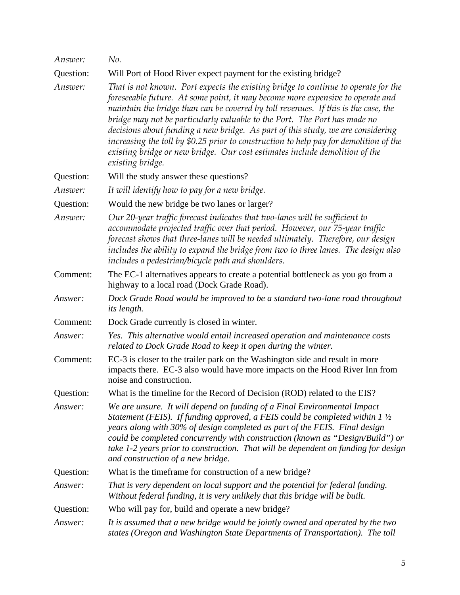| Answer:   | No.                                                                                                                                                                                                                                                                                                                                                                                                                                                                                                                                                                                                                    |
|-----------|------------------------------------------------------------------------------------------------------------------------------------------------------------------------------------------------------------------------------------------------------------------------------------------------------------------------------------------------------------------------------------------------------------------------------------------------------------------------------------------------------------------------------------------------------------------------------------------------------------------------|
| Question: | Will Port of Hood River expect payment for the existing bridge?                                                                                                                                                                                                                                                                                                                                                                                                                                                                                                                                                        |
| Answer:   | That is not known. Port expects the existing bridge to continue to operate for the<br>foreseeable future. At some point, it may become more expensive to operate and<br>maintain the bridge than can be covered by toll revenues. If this is the case, the<br>bridge may not be particularly valuable to the Port. The Port has made no<br>decisions about funding a new bridge. As part of this study, we are considering<br>increasing the toll by \$0.25 prior to construction to help pay for demolition of the<br>existing bridge or new bridge. Our cost estimates include demolition of the<br>existing bridge. |
| Question: | Will the study answer these questions?                                                                                                                                                                                                                                                                                                                                                                                                                                                                                                                                                                                 |
| Answer:   | It will identify how to pay for a new bridge.                                                                                                                                                                                                                                                                                                                                                                                                                                                                                                                                                                          |
| Question: | Would the new bridge be two lanes or larger?                                                                                                                                                                                                                                                                                                                                                                                                                                                                                                                                                                           |
| Answer:   | Our 20-year traffic forecast indicates that two-lanes will be sufficient to<br>accommodate projected traffic over that period. However, our 75-year traffic<br>forecast shows that three-lanes will be needed ultimately. Therefore, our design<br>includes the ability to expand the bridge from two to three lanes. The design also<br>includes a pedestrian/bicycle path and shoulders.                                                                                                                                                                                                                             |
| Comment:  | The EC-1 alternatives appears to create a potential bottleneck as you go from a<br>highway to a local road (Dock Grade Road).                                                                                                                                                                                                                                                                                                                                                                                                                                                                                          |
| Answer:   | Dock Grade Road would be improved to be a standard two-lane road throughout<br><i>its length.</i>                                                                                                                                                                                                                                                                                                                                                                                                                                                                                                                      |
| Comment:  | Dock Grade currently is closed in winter.                                                                                                                                                                                                                                                                                                                                                                                                                                                                                                                                                                              |
| Answer:   | Yes. This alternative would entail increased operation and maintenance costs<br>related to Dock Grade Road to keep it open during the winter.                                                                                                                                                                                                                                                                                                                                                                                                                                                                          |
| Comment:  | EC-3 is closer to the trailer park on the Washington side and result in more<br>impacts there. EC-3 also would have more impacts on the Hood River Inn from<br>noise and construction.                                                                                                                                                                                                                                                                                                                                                                                                                                 |
| Question: | What is the timeline for the Record of Decision (ROD) related to the EIS?                                                                                                                                                                                                                                                                                                                                                                                                                                                                                                                                              |
| Answer:   | We are unsure. It will depend on funding of a Final Environmental Impact<br>Statement (FEIS). If funding approved, a FEIS could be completed within $1\frac{1}{2}$<br>years along with 30% of design completed as part of the FEIS. Final design<br>could be completed concurrently with construction (known as "Design/Build") or<br>take 1-2 years prior to construction. That will be dependent on funding for design<br>and construction of a new bridge.                                                                                                                                                          |
| Question: | What is the timeframe for construction of a new bridge?                                                                                                                                                                                                                                                                                                                                                                                                                                                                                                                                                                |
| Answer:   | That is very dependent on local support and the potential for federal funding.<br>Without federal funding, it is very unlikely that this bridge will be built.                                                                                                                                                                                                                                                                                                                                                                                                                                                         |
| Question: | Who will pay for, build and operate a new bridge?                                                                                                                                                                                                                                                                                                                                                                                                                                                                                                                                                                      |
| Answer:   | It is assumed that a new bridge would be jointly owned and operated by the two<br>states (Oregon and Washington State Departments of Transportation). The toll                                                                                                                                                                                                                                                                                                                                                                                                                                                         |